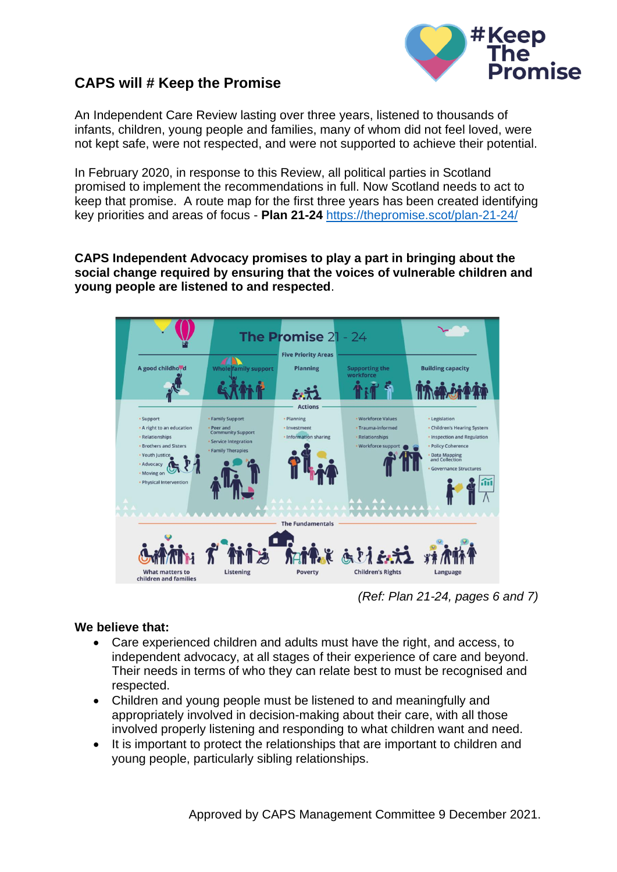

## **CAPS will # Keep the Promise**

An Independent Care Review lasting over three years, listened to thousands of infants, children, young people and families, many of whom did not feel loved, were not kept safe, were not respected, and were not supported to achieve their potential.

In February 2020, in response to this Review, all political parties in Scotland promised to implement the recommendations in full. Now Scotland needs to act to keep that promise. A route map for the first three years has been created identifying key priorities and areas of focus - **Plan 21-24** <https://thepromise.scot/plan-21-24/>

**CAPS Independent Advocacy promises to play a part in bringing about the social change required by ensuring that the voices of vulnerable children and young people are listened to and respected**.



 *(Ref: Plan 21-24, pages 6 and 7)*

## **We believe that:**

- Care experienced children and adults must have the right, and access, to independent advocacy, at all stages of their experience of care and beyond. Their needs in terms of who they can relate best to must be recognised and respected.
- Children and young people must be listened to and meaningfully and appropriately involved in decision-making about their care, with all those involved properly listening and responding to what children want and need.
- It is important to protect the relationships that are important to children and young people, particularly sibling relationships.